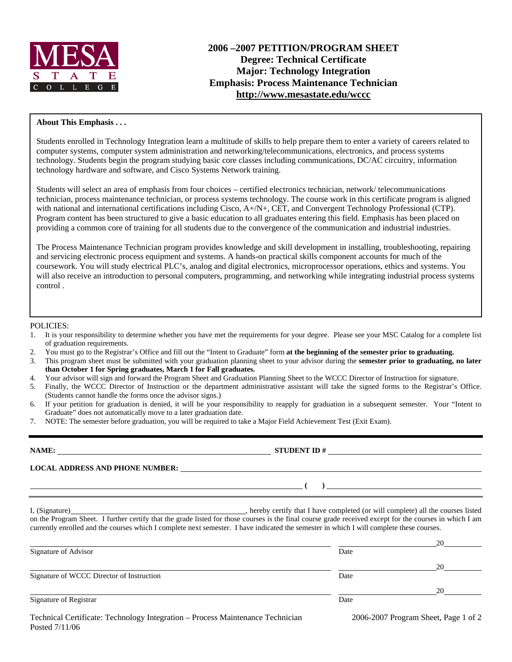

# **2006 –2007 PETITION/PROGRAM SHEET Degree: Technical Certificate Major: Technology Integration Emphasis: Process Maintenance Technician http://www.mesastate.edu/wccc**

#### **About This Emphasis . . .**

Students enrolled in Technology Integration learn a multitude of skills to help prepare them to enter a variety of careers related to computer systems, computer system administration and networking/telecommunications, electronics, and process systems technology. Students begin the program studying basic core classes including communications, DC/AC circuitry, information technology hardware and software, and Cisco Systems Network training.

Students will select an area of emphasis from four choices – certified electronics technician, network/ telecommunications technician, process maintenance technician, or process systems technology. The course work in this certificate program is aligned with national and international certifications including Cisco, A+/N+, CET, and Convergent Technology Professional (CTP). Program content has been structured to give a basic education to all graduates entering this field. Emphasis has been placed on providing a common core of training for all students due to the convergence of the communication and industrial industries.

The Process Maintenance Technician program provides knowledge and skill development in installing, troubleshooting, repairing and servicing electronic process equipment and systems. A hands-on practical skills component accounts for much of the coursework. You will study electrical PLC's, analog and digital electronics, microprocessor operations, ethics and systems. You will also receive an introduction to personal computers, programming, and networking while integrating industrial process systems control .

#### POLICIES:

- 1. It is your responsibility to determine whether you have met the requirements for your degree. Please see your MSC Catalog for a complete list of graduation requirements.
- 2. You must go to the Registrar's Office and fill out the "Intent to Graduate" form **at the beginning of the semester prior to graduating.**
- 3. This program sheet must be submitted with your graduation planning sheet to your advisor during the **semester prior to graduating, no later than October 1 for Spring graduates, March 1 for Fall graduates.**
- 4. Your advisor will sign and forward the Program Sheet and Graduation Planning Sheet to the WCCC Director of Instruction for signature.
- 5. Finally, the WCCC Director of Instruction or the department administrative assistant will take the signed forms to the Registrar's Office. (Students cannot handle the forms once the advisor signs.)
- 6. If your petition for graduation is denied, it will be your responsibility to reapply for graduation in a subsequent semester. Your "Intent to Graduate" does not automatically move to a later graduation date.
- 7. NOTE: The semester before graduation, you will be required to take a Major Field Achievement Test (Exit Exam).

| NAME:                                                                                                                            |                                                                                                                                          |                                      |
|----------------------------------------------------------------------------------------------------------------------------------|------------------------------------------------------------------------------------------------------------------------------------------|--------------------------------------|
|                                                                                                                                  |                                                                                                                                          |                                      |
| <u> Andreas Andreas Andreas Andreas Andreas Andreas Andreas Andreas Andreas Andreas Andreas Andreas Andreas Andr</u>             |                                                                                                                                          |                                      |
|                                                                                                                                  | currently enrolled and the courses which I complete next semester. I have indicated the semester in which I will complete these courses. |                                      |
|                                                                                                                                  | Date                                                                                                                                     |                                      |
|                                                                                                                                  |                                                                                                                                          |                                      |
| Signature of WCCC Director of Instruction                                                                                        | Date                                                                                                                                     |                                      |
|                                                                                                                                  |                                                                                                                                          |                                      |
|                                                                                                                                  |                                                                                                                                          |                                      |
| Signature of Advisor<br>Signature of Registrar<br>Technical Certificate: Technology Integration – Process Maintenance Technician | Date                                                                                                                                     | 2006-2007 Program Sheet, Page 1 of 2 |